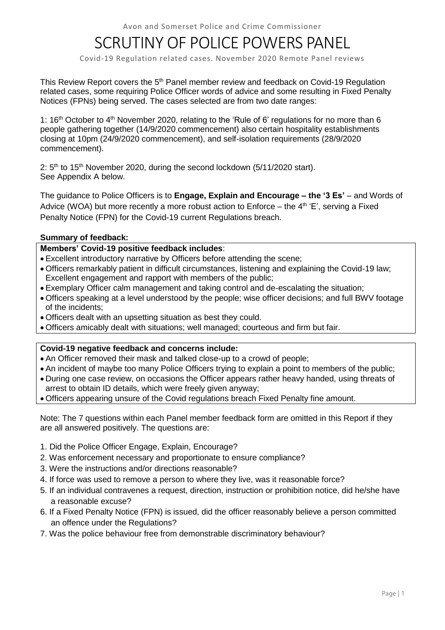# SCRUTINY OF POLICE POWERS PANEL

Covid-19 Regulation related cases. November 2020 Remote Panel reviews

This Review Report covers the 5<sup>th</sup> Panel member review and feedback on Covid-19 Regulation related cases, some requiring Police Officer words of advice and some resulting in Fixed Penalty Notices (FPNs) being served. The cases selected are from two date ranges:

1: 16<sup>th</sup> October to 4<sup>th</sup> November 2020, relating to the 'Rule of 6' regulations for no more than 6 people gathering together (14/9/2020 commencement) also certain hospitality establishments closing at 10pm (24/9/2020 commencement), and self-isolation requirements (28/9/2020 commencement).

2:  $5<sup>th</sup>$  to 15<sup>th</sup> November 2020, during the second lockdown (5/11/2020 start). See Appendix A below.

The guidance to Police Officers is to **Engage, Explain and Encourage – the '3 Es'** – and Words of Advice (WOA) but more recently a more robust action to Enforce – the  $4<sup>th</sup>$  'E', serving a Fixed Penalty Notice (FPN) for the Covid-19 current Regulations breach.

# **Summary of feedback:**

# **Members' Covid-19 positive feedback includes**:

- Excellent introductory narrative by Officers before attending the scene;
- Officers remarkably patient in difficult circumstances, listening and explaining the Covid-19 law; Excellent engagement and rapport with members of the public;
- Exemplary Officer calm management and taking control and de-escalating the situation;
- Officers speaking at a level understood by the people; wise officer decisions; and full BWV footage of the incidents;
- Officers dealt with an upsetting situation as best they could.
- Officers amicably dealt with situations; well managed; courteous and firm but fair.

# **Covid-19 negative feedback and concerns include:**

- An Officer removed their mask and talked close-up to a crowd of people;
- An incident of maybe too many Police Officers trying to explain a point to members of the public;
- During one case review, on occasions the Officer appears rather heavy handed, using threats of arrest to obtain ID details, which were freely given anyway;
- Officers appearing unsure of the Covid regulations breach Fixed Penalty fine amount.

Note: The 7 questions within each Panel member feedback form are omitted in this Report if they are all answered positively. The questions are:

- 1. Did the Police Officer Engage, Explain, Encourage?
- 2. Was enforcement necessary and proportionate to ensure compliance?
- 3. Were the instructions and/or directions reasonable?
- 4. If force was used to remove a person to where they live, was it reasonable force?
- 5. If an individual contravenes a request, direction, instruction or prohibition notice, did he/she have a reasonable excuse?
- 6. If a Fixed Penalty Notice (FPN) is issued, did the officer reasonably believe a person committed an offence under the Regulations?
- 7. Was the police behaviour free from demonstrable discriminatory behaviour?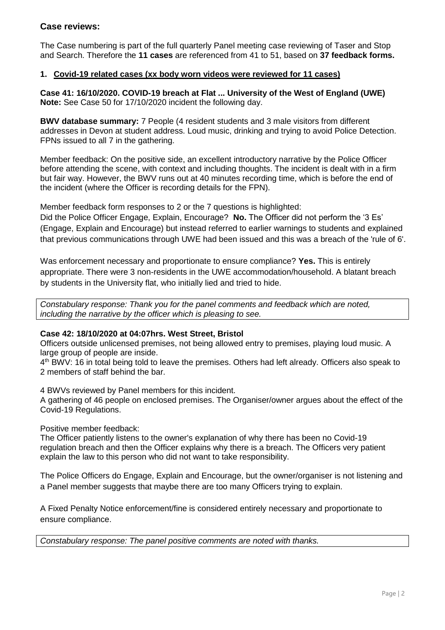# **Case reviews:**

The Case numbering is part of the full quarterly Panel meeting case reviewing of Taser and Stop and Search. Therefore the **11 cases** are referenced from 41 to 51, based on **37 feedback forms.**

# **1. Covid-19 related cases (xx body worn videos were reviewed for 11 cases)**

**Case 41: 16/10/2020. COVID-19 breach at Flat ... University of the West of England (UWE) Note:** See Case 50 for 17/10/2020 incident the following day.

**BWV database summary:** 7 People (4 resident students and 3 male visitors from different addresses in Devon at student address. Loud music, drinking and trying to avoid Police Detection. FPNs issued to all 7 in the gathering.

Member feedback: On the positive side, an excellent introductory narrative by the Police Officer before attending the scene, with context and including thoughts. The incident is dealt with in a firm but fair way. However, the BWV runs out at 40 minutes recording time, which is before the end of the incident (where the Officer is recording details for the FPN).

Member feedback form responses to 2 or the 7 questions is highlighted:

Did the Police Officer Engage, Explain, Encourage? **No.** The Officer did not perform the '3 Es' (Engage, Explain and Encourage) but instead referred to earlier warnings to students and explained that previous communications through UWE had been issued and this was a breach of the 'rule of 6'.

Was enforcement necessary and proportionate to ensure compliance? **Yes.** This is entirely appropriate. There were 3 non-residents in the UWE accommodation/household. A blatant breach by students in the University flat, who initially lied and tried to hide.

*Constabulary response: Thank you for the panel comments and feedback which are noted, including the narrative by the officer which is pleasing to see.*

# **Case 42: 18/10/2020 at 04:07hrs. West Street, Bristol**

Officers outside unlicensed premises, not being allowed entry to premises, playing loud music. A large group of people are inside.

4<sup>th</sup> BWV: 16 in total being told to leave the premises. Others had left already. Officers also speak to 2 members of staff behind the bar.

4 BWVs reviewed by Panel members for this incident.

A gathering of 46 people on enclosed premises. The Organiser/owner argues about the effect of the Covid-19 Regulations.

Positive member feedback:

The Officer patiently listens to the owner's explanation of why there has been no Covid-19 regulation breach and then the Officer explains why there is a breach. The Officers very patient explain the law to this person who did not want to take responsibility.

The Police Officers do Engage, Explain and Encourage, but the owner/organiser is not listening and a Panel member suggests that maybe there are too many Officers trying to explain.

A Fixed Penalty Notice enforcement/fine is considered entirely necessary and proportionate to ensure compliance.

*Constabulary response: The panel positive comments are noted with thanks.*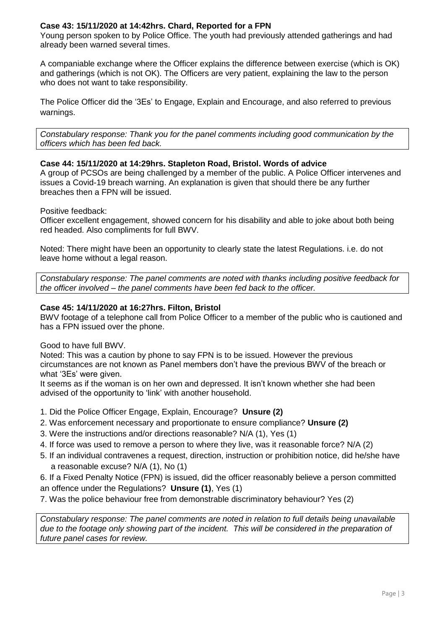# **Case 43: 15/11/2020 at 14:42hrs. Chard, Reported for a FPN**

Young person spoken to by Police Office. The youth had previously attended gatherings and had already been warned several times.

A companiable exchange where the Officer explains the difference between exercise (which is OK) and gatherings (which is not OK). The Officers are very patient, explaining the law to the person who does not want to take responsibility.

The Police Officer did the '3Es' to Engage, Explain and Encourage, and also referred to previous warnings.

*Constabulary response: Thank you for the panel comments including good communication by the officers which has been fed back.* 

#### **Case 44: 15/11/2020 at 14:29hrs. Stapleton Road, Bristol. Words of advice**

A group of PCSOs are being challenged by a member of the public. A Police Officer intervenes and issues a Covid-19 breach warning. An explanation is given that should there be any further breaches then a FPN will be issued.

Positive feedback:

Officer excellent engagement, showed concern for his disability and able to joke about both being red headed. Also compliments for full BWV.

Noted: There might have been an opportunity to clearly state the latest Regulations. i.e. do not leave home without a legal reason.

*Constabulary response: The panel comments are noted with thanks including positive feedback for the officer involved – the panel comments have been fed back to the officer.*

# **Case 45: 14/11/2020 at 16:27hrs. Filton, Bristol**

BWV footage of a telephone call from Police Officer to a member of the public who is cautioned and has a FPN issued over the phone.

#### Good to have full BWV.

Noted: This was a caution by phone to say FPN is to be issued. However the previous circumstances are not known as Panel members don't have the previous BWV of the breach or what '3Es' were given.

It seems as if the woman is on her own and depressed. It isn't known whether she had been advised of the opportunity to 'link' with another household.

- 1. Did the Police Officer Engage, Explain, Encourage? **Unsure (2)**
- 2. Was enforcement necessary and proportionate to ensure compliance? **Unsure (2)**
- 3. Were the instructions and/or directions reasonable? N/A (1), Yes (1)
- 4. If force was used to remove a person to where they live, was it reasonable force? N/A (2)
- 5. If an individual contravenes a request, direction, instruction or prohibition notice, did he/she have a reasonable excuse? N/A (1), No (1)

6. If a Fixed Penalty Notice (FPN) is issued, did the officer reasonably believe a person committed an offence under the Regulations? **Unsure (1)**, Yes (1)

7. Was the police behaviour free from demonstrable discriminatory behaviour? Yes (2)

*Constabulary response: The panel comments are noted in relation to full details being unavailable due to the footage only showing part of the incident. This will be considered in the preparation of future panel cases for review.*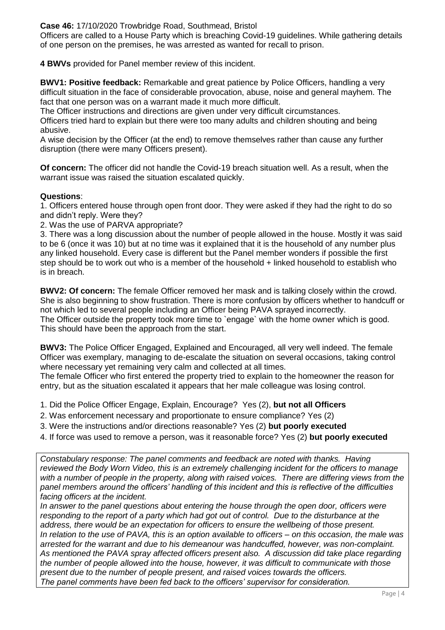**Case 46:** 17/10/2020 Trowbridge Road, Southmead, Bristol

Officers are called to a House Party which is breaching Covid-19 guidelines. While gathering details of one person on the premises, he was arrested as wanted for recall to prison.

**4 BWVs** provided for Panel member review of this incident.

**BWV1: Positive feedback:** Remarkable and great patience by Police Officers, handling a very difficult situation in the face of considerable provocation, abuse, noise and general mayhem. The fact that one person was on a warrant made it much more difficult.

The Officer instructions and directions are given under very difficult circumstances.

Officers tried hard to explain but there were too many adults and children shouting and being abusive.

A wise decision by the Officer (at the end) to remove themselves rather than cause any further disruption (there were many Officers present).

**Of concern:** The officer did not handle the Covid-19 breach situation well. As a result, when the warrant issue was raised the situation escalated quickly.

# **Questions**:

1. Officers entered house through open front door. They were asked if they had the right to do so and didn't reply. Were they?

2. Was the use of PARVA appropriate?

3. There was a long discussion about the number of people allowed in the house. Mostly it was said to be 6 (once it was 10) but at no time was it explained that it is the household of any number plus any linked household. Every case is different but the Panel member wonders if possible the first step should be to work out who is a member of the household + linked household to establish who is in breach.

**BWV2: Of concern:** The female Officer removed her mask and is talking closely within the crowd. She is also beginning to show frustration. There is more confusion by officers whether to handcuff or not which led to several people including an Officer being PAVA sprayed incorrectly. The Officer outside the property took more time to `engage` with the home owner which is good. This should have been the approach from the start.

**BWV3:** The Police Officer Engaged, Explained and Encouraged, all very well indeed. The female Officer was exemplary, managing to de-escalate the situation on several occasions, taking control where necessary yet remaining very calm and collected at all times.

The female Officer who first entered the property tried to explain to the homeowner the reason for entry, but as the situation escalated it appears that her male colleague was losing control.

1. Did the Police Officer Engage, Explain, Encourage? Yes (2), **but not all Officers** 

- 2. Was enforcement necessary and proportionate to ensure compliance? Yes (2)
- 3. Were the instructions and/or directions reasonable? Yes (2) **but poorly executed**
- 4. If force was used to remove a person, was it reasonable force? Yes (2) **but poorly executed**

*Constabulary response: The panel comments and feedback are noted with thanks. Having reviewed the Body Worn Video, this is an extremely challenging incident for the officers to manage with a number of people in the property, along with raised voices. There are differing views from the panel members around the officers' handling of this incident and this is reflective of the difficulties facing officers at the incident.*

*In answer to the panel questions about entering the house through the open door, officers were responding to the report of a party which had got out of control. Due to the disturbance at the address, there would be an expectation for officers to ensure the wellbeing of those present. In relation to the use of PAVA, this is an option available to officers – on this occasion, the male was arrested for the warrant and due to his demeanour was handcuffed, however, was non-complaint. As mentioned the PAVA spray affected officers present also. A discussion did take place regarding the number of people allowed into the house, however, it was difficult to communicate with those present due to the number of people present, and raised voices towards the officers. The panel comments have been fed back to the officers' supervisor for consideration.*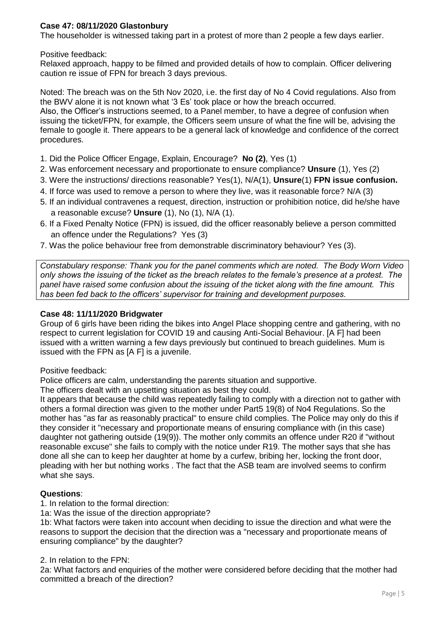# **Case 47: 08/11/2020 Glastonbury**

The householder is witnessed taking part in a protest of more than 2 people a few days earlier.

## Positive feedback:

Relaxed approach, happy to be filmed and provided details of how to complain. Officer delivering caution re issue of FPN for breach 3 days previous.

Noted: The breach was on the 5th Nov 2020, i.e. the first day of No 4 Covid regulations. Also from the BWV alone it is not known what '3 Es' took place or how the breach occurred. Also, the Officer's instructions seemed, to a Panel member, to have a degree of confusion when issuing the ticket/FPN, for example, the Officers seem unsure of what the fine will be, advising the female to google it. There appears to be a general lack of knowledge and confidence of the correct procedures.

- 1. Did the Police Officer Engage, Explain, Encourage? **No (2)**, Yes (1)
- 2. Was enforcement necessary and proportionate to ensure compliance? **Unsure** (1), Yes (2)
- 3. Were the instructions/ directions reasonable? Yes(1), N/A(1), **Unsure**(1) **FPN issue confusion.**
- 4. If force was used to remove a person to where they live, was it reasonable force? N/A (3)
- 5. If an individual contravenes a request, direction, instruction or prohibition notice, did he/she have a reasonable excuse? **Unsure** (1), No (1), N/A (1).
- 6. If a Fixed Penalty Notice (FPN) is issued, did the officer reasonably believe a person committed an offence under the Regulations? Yes (3)
- 7. Was the police behaviour free from demonstrable discriminatory behaviour? Yes (3).

*Constabulary response: Thank you for the panel comments which are noted. The Body Worn Video only shows the issuing of the ticket as the breach relates to the female's presence at a protest. The panel have raised some confusion about the issuing of the ticket along with the fine amount. This has been fed back to the officers' supervisor for training and development purposes.* 

#### **Case 48: 11/11/2020 Bridgwater**

Group of 6 girls have been riding the bikes into Angel Place shopping centre and gathering, with no respect to current legislation for COVID 19 and causing Anti-Social Behaviour. [A F] had been issued with a written warning a few days previously but continued to breach guidelines. Mum is issued with the FPN as [A F] is a juvenile.

Positive feedback:

Police officers are calm, understanding the parents situation and supportive.

The officers dealt with an upsetting situation as best they could.

It appears that because the child was repeatedly failing to comply with a direction not to gather with others a formal direction was given to the mother under Part5 19(8) of No4 Regulations. So the mother has "as far as reasonably practical" to ensure child complies. The Police may only do this if they consider it "necessary and proportionate means of ensuring compliance with (in this case) daughter not gathering outside (19(9)). The mother only commits an offence under R20 if "without reasonable excuse" she fails to comply with the notice under R19. The mother says that she has done all she can to keep her daughter at home by a curfew, bribing her, locking the front door, pleading with her but nothing works . The fact that the ASB team are involved seems to confirm what she says.

# **Questions**:

1. In relation to the formal direction:

1a: Was the issue of the direction appropriate?

1b: What factors were taken into account when deciding to issue the direction and what were the reasons to support the decision that the direction was a "necessary and proportionate means of ensuring compliance" by the daughter?

#### 2. In relation to the FPN:

2a: What factors and enquiries of the mother were considered before deciding that the mother had committed a breach of the direction?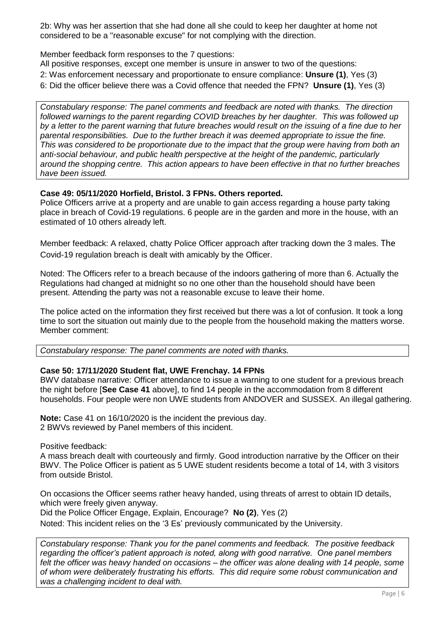2b: Why was her assertion that she had done all she could to keep her daughter at home not considered to be a "reasonable excuse" for not complying with the direction.

Member feedback form responses to the 7 questions:

All positive responses, except one member is unsure in answer to two of the questions:

2: Was enforcement necessary and proportionate to ensure compliance: **Unsure (1)**, Yes (3)

6: Did the officer believe there was a Covid offence that needed the FPN? **Unsure (1)**, Yes (3)

*Constabulary response: The panel comments and feedback are noted with thanks. The direction followed warnings to the parent regarding COVID breaches by her daughter. This was followed up by a letter to the parent warning that future breaches would result on the issuing of a fine due to her parental responsibilities. Due to the further breach it was deemed appropriate to issue the fine. This was considered to be proportionate due to the impact that the group were having from both an anti-social behaviour, and public health perspective at the height of the pandemic, particularly around the shopping centre. This action appears to have been effective in that no further breaches have been issued.*

# **Case 49: 05/11/2020 Horfield, Bristol. 3 FPNs. Others reported.**

Police Officers arrive at a property and are unable to gain access regarding a house party taking place in breach of Covid-19 regulations. 6 people are in the garden and more in the house, with an estimated of 10 others already left.

Member feedback: A relaxed, chatty Police Officer approach after tracking down the 3 males. The Covid-19 regulation breach is dealt with amicably by the Officer.

Noted: The Officers refer to a breach because of the indoors gathering of more than 6. Actually the Regulations had changed at midnight so no one other than the household should have been present. Attending the party was not a reasonable excuse to leave their home.

The police acted on the information they first received but there was a lot of confusion. It took a long time to sort the situation out mainly due to the people from the household making the matters worse. Member comment:

*Constabulary response: The panel comments are noted with thanks.*

# **Case 50: 17/11/2020 Student flat, UWE Frenchay. 14 FPNs**

BWV database narrative: Officer attendance to issue a warning to one student for a previous breach the night before [**See Case 41** above], to find 14 people in the accommodation from 8 different households. Four people were non UWE students from ANDOVER and SUSSEX. An illegal gathering.

**Note:** Case 41 on 16/10/2020 is the incident the previous day. 2 BWVs reviewed by Panel members of this incident.

Positive feedback:

A mass breach dealt with courteously and firmly. Good introduction narrative by the Officer on their BWV. The Police Officer is patient as 5 UWE student residents become a total of 14, with 3 visitors from outside Bristol.

On occasions the Officer seems rather heavy handed, using threats of arrest to obtain ID details, which were freely given anyway.

Did the Police Officer Engage, Explain, Encourage? **No (2)**, Yes (2)

Noted: This incident relies on the '3 Es' previously communicated by the University.

*Constabulary response: Thank you for the panel comments and feedback. The positive feedback regarding the officer's patient approach is noted, along with good narrative. One panel members felt the officer was heavy handed on occasions – the officer was alone dealing with 14 people, some of whom were deliberately frustrating his efforts. This did require some robust communication and was a challenging incident to deal with.*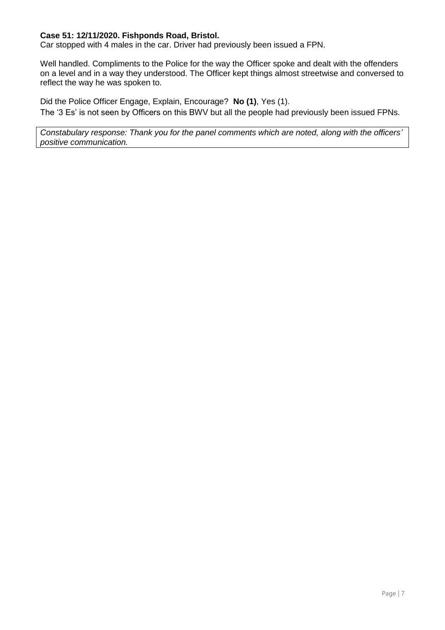# **Case 51: 12/11/2020. Fishponds Road, Bristol.**

Car stopped with 4 males in the car. Driver had previously been issued a FPN.

Well handled. Compliments to the Police for the way the Officer spoke and dealt with the offenders on a level and in a way they understood. The Officer kept things almost streetwise and conversed to reflect the way he was spoken to.

Did the Police Officer Engage, Explain, Encourage? **No (1)**, Yes (1). The '3 Es' is not seen by Officers on this BWV but all the people had previously been issued FPNs.

*Constabulary response: Thank you for the panel comments which are noted, along with the officers' positive communication.*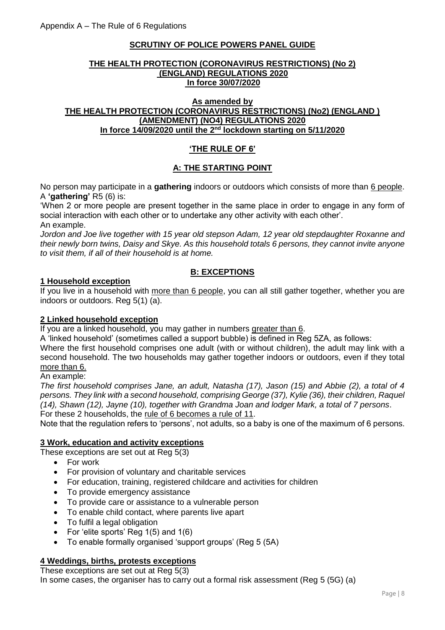# **SCRUTINY OF POLICE POWERS PANEL GUIDE**

#### **THE HEALTH PROTECTION (CORONAVIRUS RESTRICTIONS) (No 2) (ENGLAND) REGULATIONS 2020 In force 30/07/2020**

## **As amended by THE HEALTH PROTECTION (CORONAVIRUS RESTRICTIONS) (No2) (ENGLAND ) (AMENDMENT) (NO4) REGULATIONS 2020 In force 14/09/2020 until the 2nd lockdown starting on 5/11/2020**

# **'THE RULE OF 6'**

# **A: THE STARTING POINT**

No person may participate in a **gathering** indoors or outdoors which consists of more than 6 people. A **'gathering'** R5 (6) is:

'When 2 or more people are present together in the same place in order to engage in any form of social interaction with each other or to undertake any other activity with each other'. An example.

*Jordon and Joe live together with 15 year old stepson Adam, 12 year old stepdaughter Roxanne and their newly born twins, Daisy and Skye. As this household totals 6 persons, they cannot invite anyone to visit them, if all of their household is at home.*

# **B: EXCEPTIONS**

# **1 Household exception**

If you live in a household with more than 6 people, you can all still gather together, whether you are indoors or outdoors. Reg 5(1) (a).

# **2 Linked household exception**

If you are a linked household, you may gather in numbers greater than 6.

A 'linked household' (sometimes called a support bubble) is defined in Reg 5ZA, as follows:

Where the first household comprises one adult (with or without children), the adult may link with a second household. The two households may gather together indoors or outdoors, even if they total more than 6.

#### An example:

*The first household comprises Jane, an adult, Natasha (17), Jason (15) and Abbie (2), a total of 4 persons. They link with a second household, comprising George (37), Kylie (36), their children, Raquel (14), Shawn (12), Jayne (10), together with Grandma Joan and lodger Mark, a total of 7 persons*. For these 2 households, the rule of 6 becomes a rule of 11.

Note that the regulation refers to 'persons', not adults, so a baby is one of the maximum of 6 persons.

# **3 Work, education and activity exceptions**

These exceptions are set out at Reg 5(3)

- For work
- For provision of voluntary and charitable services
- For education, training, registered childcare and activities for children
- To provide emergency assistance
- To provide care or assistance to a vulnerable person
- To enable child contact, where parents live apart
- To fulfil a legal obligation
- For 'elite sports' Reg 1(5) and 1(6)
- To enable formally organised 'support groups' (Reg 5 (5A)

#### **4 Weddings, births, protests exceptions**

These exceptions are set out at Reg 5(3)

In some cases, the organiser has to carry out a formal risk assessment (Reg 5 (5G) (a)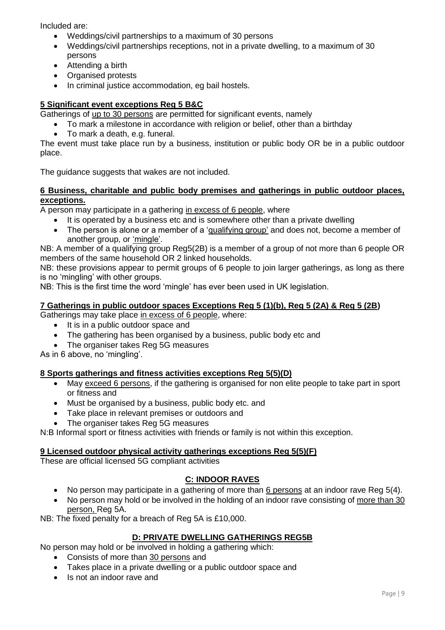Included are:

- Weddings/civil partnerships to a maximum of 30 persons
- Weddings/civil partnerships receptions, not in a private dwelling, to a maximum of 30 persons
- Attending a birth
- Organised protests
- In criminal justice accommodation, eg bail hostels.

# **5 Significant event exceptions Reg 5 B&C**

Gatherings of up to 30 persons are permitted for significant events, namely

- To mark a milestone in accordance with religion or belief, other than a birthday
- To mark a death, e.g. funeral.

The event must take place run by a business, institution or public body OR be in a public outdoor place.

The guidance suggests that wakes are not included.

# **6 Business, charitable and public body premises and gatherings in public outdoor places, exceptions.**

A person may participate in a gathering in excess of 6 people, where

- It is operated by a business etc and is somewhere other than a private dwelling
- The person is alone or a member of a 'qualifying group' and does not, become a member of another group, or 'mingle'.

NB: A member of a qualifying group Reg5(2B) is a member of a group of not more than 6 people OR members of the same household OR 2 linked households.

NB: these provisions appear to permit groups of 6 people to join larger gatherings, as long as there is no 'mingling' with other groups.

NB: This is the first time the word 'mingle' has ever been used in UK legislation.

#### **7 Gatherings in public outdoor spaces Exceptions Reg 5 (1)(b), Reg 5 (2A) & Reg 5 (2B)**

Gatherings may take place in excess of 6 people, where:

- It is in a public outdoor space and
- The gathering has been organised by a business, public body etc and
- The organiser takes Reg 5G measures

As in 6 above, no 'mingling'.

# **8 Sports gatherings and fitness activities exceptions Reg 5(5)(D)**

- May exceed 6 persons, if the gathering is organised for non elite people to take part in sport or fitness and
- Must be organised by a business, public body etc. and
- Take place in relevant premises or outdoors and
- The organiser takes Reg 5G measures

N:B Informal sport or fitness activities with friends or family is not within this exception.

#### **9 Licensed outdoor physical activity gatherings exceptions Reg 5(5)(F)**

These are official licensed 5G compliant activities

# **C: INDOOR RAVES**

- No person may participate in a gathering of more than 6 persons at an indoor rave Reg 5(4).
- No person may hold or be involved in the holding of an indoor rave consisting of more than 30 person, Reg 5A.

NB: The fixed penalty for a breach of Reg 5A is £10,000.

# **D: PRIVATE DWELLING GATHERINGS REG5B**

No person may hold or be involved in holding a gathering which:

- Consists of more than 30 persons and
- Takes place in a private dwelling or a public outdoor space and
- Is not an indoor rave and